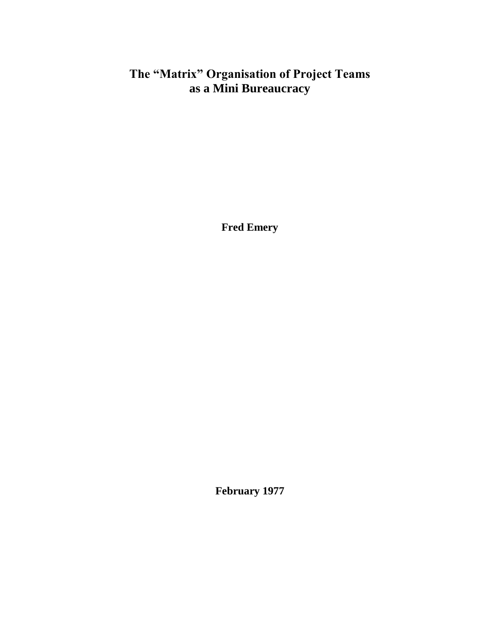# **The "Matrix" Organisation of Project Teams as a Mini Bureaucracy**

**Fred Emery**

**February 1977**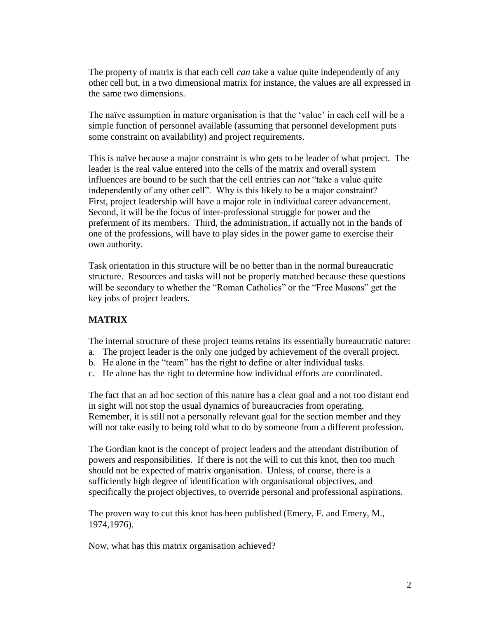The property of matrix is that each cell *can* take a value quite independently of any other cell but, in a two dimensional matrix for instance, the values are all expressed in the same two dimensions.

The naïve assumption in mature organisation is that the 'value' in each cell will be a simple function of personnel available (assuming that personnel development puts some constraint on availability) and project requirements.

This is naïve because a major constraint is who gets to be leader of what project. The leader is the real value entered into the cells of the matrix and overall system influences are bound to be such that the cell entries can *not* "take a value quite independently of any other cell". Why is this likely to be a major constraint? First, project leadership will have a major role in individual career advancement. Second, it will be the focus of inter-professional struggle for power and the preferment of its members. Third, the administration, if actually not in the bands of one of the professions, will have to play sides in the power game to exercise their own authority.

Task orientation in this structure will be no better than in the normal bureaucratic structure. Resources and tasks will not be properly matched because these questions will be secondary to whether the "Roman Catholics" or the "Free Masons" get the key jobs of project leaders.

## **MATRIX**

The internal structure of these project teams retains its essentially bureaucratic nature:

- a. The project leader is the only one judged by achievement of the overall project.
- b. He alone in the "team" has the right to define or alter individual tasks.
- c. He alone has the right to determine how individual efforts are coordinated.

The fact that an ad hoc section of this nature has a clear goal and a not too distant end in sight will not stop the usual dynamics of bureaucracies from operating. Remember, it is still not a personally relevant goal for the section member and they will not take easily to being told what to do by someone from a different profession.

The Gordian knot is the concept of project leaders and the attendant distribution of powers and responsibilities. If there is not the will to cut this knot, then too much should not be expected of matrix organisation. Unless, of course, there is a sufficiently high degree of identification with organisational objectives, and specifically the project objectives, to override personal and professional aspirations.

The proven way to cut this knot has been published (Emery, F. and Emery, M., 1974,1976).

Now, what has this matrix organisation achieved?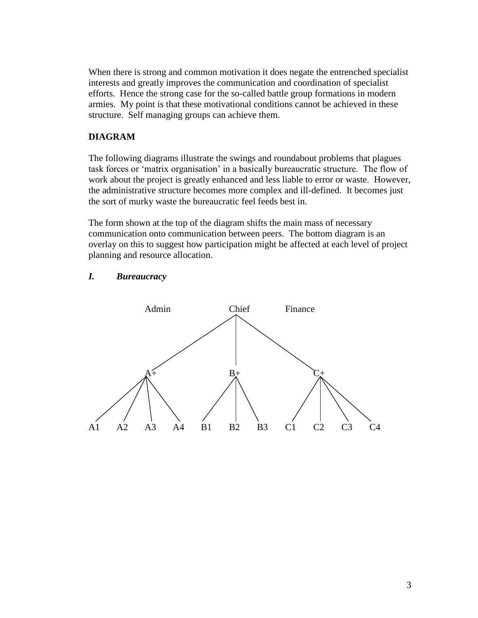When there is strong and common motivation it does negate the entrenched specialist interests and greatly improves the communication and coordination of specialist efforts. Hence the strong case for the so-called battle group formations in modern armies. My point is that these motivational conditions cannot be achieved in these structure. Self managing groups can achieve them.

## **DIAGRAM**

The following diagrams illustrate the swings and roundabout problems that plagues task forces or 'matrix organisation' in a basically bureaucratic structure. The flow of work about the project is greatly enhanced and less liable to error or waste. However, the administrative structure becomes more complex and ill-defined. It becomes just the sort of murky waste the bureaucratic feel feeds best in.

The form shown at the top of the diagram shifts the main mass of necessary communication onto communication between peers. The bottom diagram is an overlay on this to suggest how participation might be affected at each level of project planning and resource allocation.

### *I. Bureaucracy*

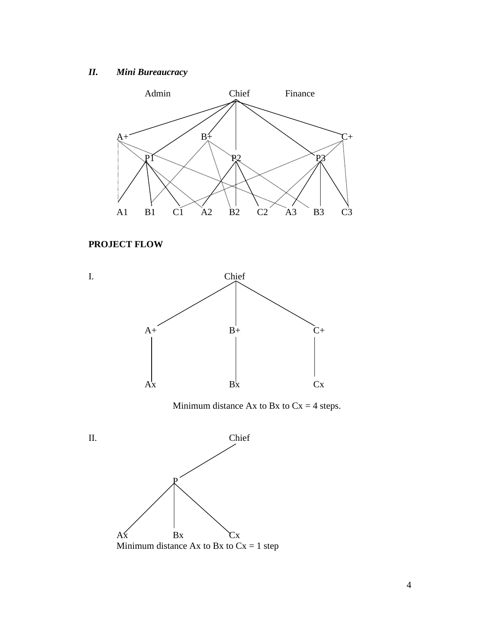# *II. Mini Bureaucracy*



# **PROJECT FLOW**



Minimum distance Ax to Bx to  $Cx = 4$  steps.